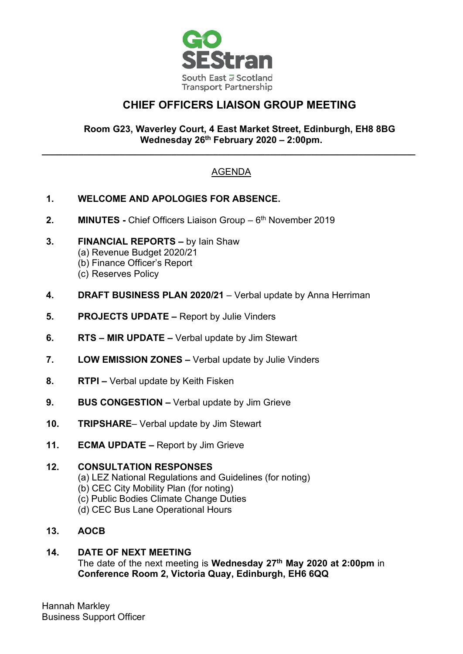

# **CHIEF OFFICERS LIAISON GROUP MEETING**

### **Room G23, Waverley Court, 4 East Market Street, Edinburgh, EH8 8BG Wednesday 26th February 2020 – 2:00pm.**

## AGENDA

**\_\_\_\_\_\_\_\_\_\_\_\_\_\_\_\_\_\_\_\_\_\_\_\_\_\_\_\_\_\_\_\_\_\_\_\_\_\_\_\_\_\_\_\_\_\_\_\_\_\_\_\_\_\_\_\_\_\_\_\_\_\_\_\_\_\_\_\_\_\_\_\_**

- **1. WELCOME AND APOLOGIES FOR ABSENCE.**
- **2. MINUTES** Chief Officers Liaison Group 6<sup>th</sup> November 2019
- **3. FINANCIAL REPORTS –** by Iain Shaw (a) Revenue Budget 2020/21 (b) Finance Officer's Report (c) Reserves Policy
- **4. DRAFT BUSINESS PLAN 2020/21** Verbal update by Anna Herriman
- **5. PROJECTS UPDATE –** Report by Julie Vinders
- **6. RTS – MIR UPDATE –** Verbal update by Jim Stewart
- **7. LOW EMISSION ZONES –** Verbal update by Julie Vinders
- **8. RTPI –** Verbal update by Keith Fisken
- **9. BUS CONGESTION –** Verbal update by Jim Grieve
- **10. TRIPSHARE** Verbal update by Jim Stewart
- **11. ECMA UPDATE –** Report by Jim Grieve

### **12. CONSULTATION RESPONSES**

- (a) LEZ National Regulations and Guidelines (for noting)
- (b) CEC City Mobility Plan (for noting)
- (c) Public Bodies Climate Change Duties
- (d) CEC Bus Lane Operational Hours
- **13. AOCB**

### **14. DATE OF NEXT MEETING**

The date of the next meeting is **Wednesday 27th May 2020 at 2:00pm** in **Conference Room 2, Victoria Quay, Edinburgh, EH6 6QQ**

Hannah Markley Business Support Officer